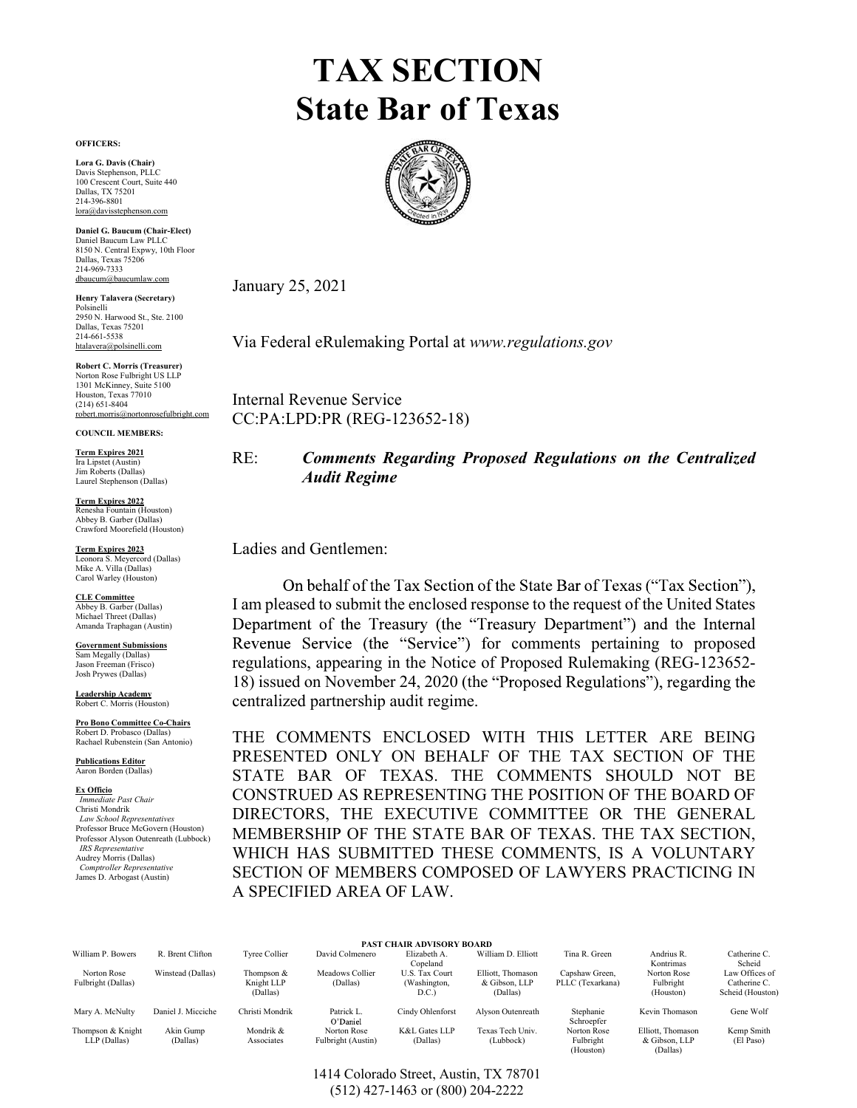# TAX SECTION State Bar of Texas



January 25, 2021

Via Federal eRulemaking Portal at www.regulations.gov Dallas, Texas 75201 214-661-5538 htalavera@polsinelli.com

Internal Revenue Service CC:PA:LPD:PR (REG-123652-18)

RE: Comments Regarding Proposed Regulations on the Centralized Audit Regime COUNCIL MEMBERS: Term Expires 2021

Ladies and Gentlemen: Term Expires 2023

I am pleased to submit the enclosed response to the request of the United States Government Submissions **Example 1** Revenue Service (the "Service") for comments pertaining to proposed regulations, appearing in the Notice of Proposed Rulemaking (REG-123652- 18) issued on November 24, 2020 (the "Proposed Regulations"), regarding the centralized partnership audit regime. Michael Threet (Dallas)<br>Amanda Traphagan (Austin)<br>Department of the Treasury (the "Treasury Department") and the Internal

EXERCISTING THE ENGINE CONSTRUES CONFIDENTIFIC COLLIER COLLIER COLLIER COLLIER COLLIER COLLIER COLLIER COLLIER COLLIER COLLIER COLLIER COLLIER COLLIER COLLIER COLLIER COLLIER COLLIER COLLIER COLLIER COLLIER COLLIER COLLIER THE COMMENTS ENCLOSED WITH THIS LETTER ARE BEING PRESENTED ONLY ON BEHALF OF THE TAX SECTION OF THE STATE BAR OF TEXAS. THE COMMENTS SHOULD NOT BE E<u>x Officio</u> enst Chair **CONSTRUED AS REPRESENTING THE POSITION OF THE BOARD OF** DIRECTORS, THE EXECUTIVE COMMITTEE OR THE GENERAL MEMBERSHIP OF THE STATE BAR OF TEXAS. THE TAX SECTION, *IRS Representative* (Dallas) WHICH HAS SUBMITTED THESE COMMENTS, IS A VOLUNTARY SECTION OF MEMBERS COMPOSED OF LAWYERS PRACTICING IN A SPECIFIED AREA OF LAW.

|                    |                    |                        |                        | <b>PAST CHAIR ADVISORY BOARD</b> |                           |                         |                           |                                  |
|--------------------|--------------------|------------------------|------------------------|----------------------------------|---------------------------|-------------------------|---------------------------|----------------------------------|
| William P. Bowers  | R. Brent Clifton   | Tyree Collier          | David Colmenero        | Elizabeth A.<br>Copeland         | William D. Elliott        | Tina R. Green           | Andrius R.<br>Kontrimas   | Catherine C.<br>Scheid           |
| Norton Rose        | Winstead (Dallas)  | Thompson $&$           | Meadows Collier        | U.S. Tax Court                   | Elliott, Thomason         | Capshaw Green,          | Norton Rose               | Law Offices of                   |
| Fulbright (Dallas) |                    | Knight LLP<br>(Dallas) | (Dallas)               | (Washington,<br>D.C.             | & Gibson, LLP<br>(Dallas) | PLLC (Texarkana)        | Fulbright<br>(Houston)    | Catherine C.<br>Scheid (Houston) |
|                    |                    |                        |                        |                                  |                           |                         |                           |                                  |
| Mary A. McNulty    | Daniel J. Micciche | Christi Mondrik        | Patrick L.<br>O'Daniel | Cindy Ohlenforst                 | Alvson Outenreath         | Stephanie<br>Schroepfer | Kevin Thomason            | Gene Wolf                        |
| Thompson & Knight  | Akin Gump          | Mondrik &              | Norton Rose            | K&L Gates LLP                    | Texas Tech Univ.          | Norton Rose             | Elliott, Thomason         | Kemp Smith                       |
| LLP (Dallas)       | (Dallas)           | Associates             | Fulbright (Austin)     | (Dallas)                         | (Lubbock)                 | Fulbright<br>(Houston)  | & Gibson, LLP<br>(Dallas) | (El Paso)                        |

OFFICERS: Lora G. Davis (Chair) Davis Stephenson, PLLC 100 Crescent Court, Suite 440 Dallas, TX 75201<br>214-396-8801<br><u>lora@davissteph</u>enson.com

Daniel G. Baucum (Chair-Elect) 8150 N. Central Expwy, 10th Floor<br>Dallas, Texas 75206  $214-969-7333$  dbaucum@baucumlaw.com

Henry Talavera (Secretary) Polsinelli<br>2950 N. Harwood St., Ste. 2100<br>Dallas. Texas 75201

Robert C. Morris (Treasurer) Norton Rose Fulbright US LLP 1301 McKinney, Suite 5100 Houston, Texas 77010 (214) 651-8404 robert.morris@nortonrosefulbright.com

Term Expires 2021<br>Ira Lipstet (Austin) Jim Roberts (Dallas) Laurel Stephenson (Dallas)

Term Expires 2022 Renesha Fountain (Houston) Abbey B. Garber (Dallas) Crawford Moorefield (Houston)

Leonora S. Meyercord (Dallas) Mike A. Villa (Dallas) Carol Warley (Houston)

CLE Committee Abbey B. Garber (Dallas) Amanda Traphagan (Austin)

Sam Megally (Dallas) Jason Freeman (Frisco) Josh Prywes (Dallas)

Leadership Academy Robert C. Morris (Houston)

Pro Bono Committee Co-Chairs Robert D. Probasco (Dallas) Rachael Rubenstein (San Antonio)

Publications Editor Aaron Borden (Dallas)

Ex Officio<br>Immediate Past Chair

Christi Mondrik Law School Representatives Professor Bruce McGovern (Houston) Professor Alyson Outenreath (Lubbock)<br>IRS Representative Audrey Morris (Dallas) Comptroller Representative James D. Arbogast (Austin)

> 1414 Colorado Street, Austin, TX 78701 (512) 427-1463 or (800) 204-2222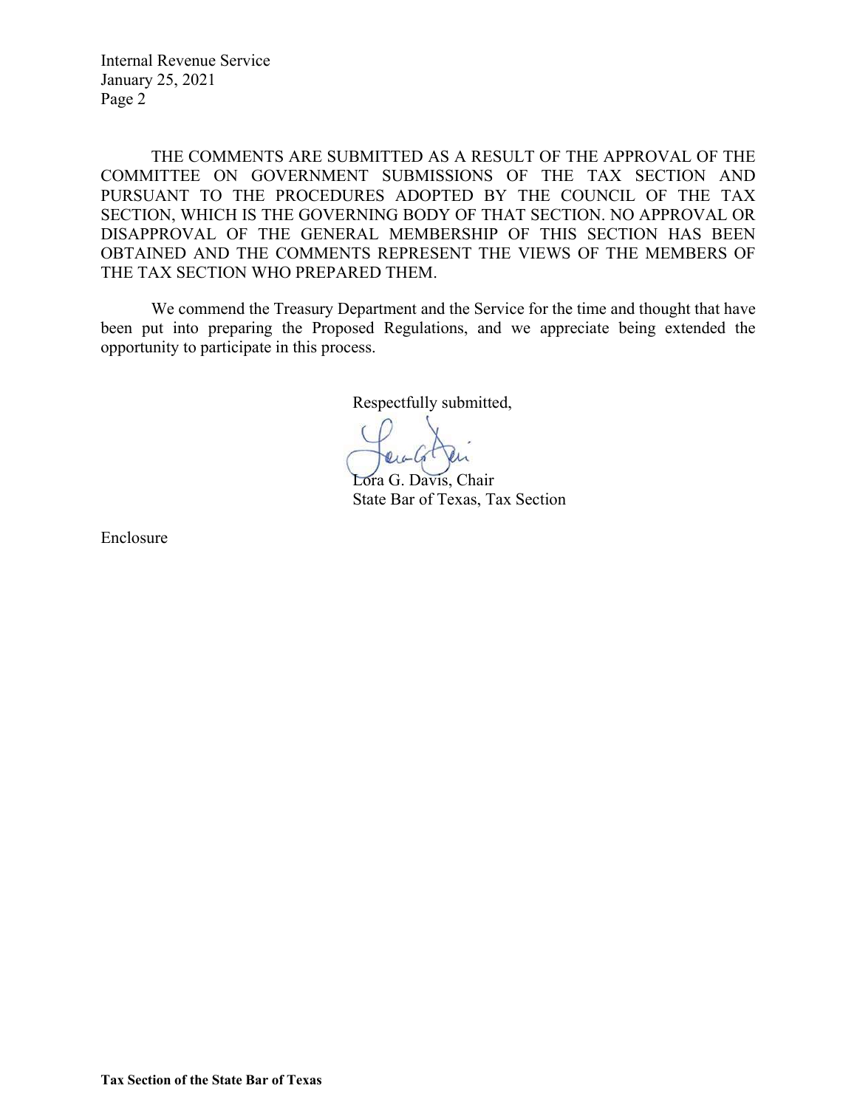Internal Revenue Service January 25, 2021 Page 2

THE COMMENTS ARE SUBMITTED AS A RESULT OF THE APPROVAL OF THE COMMITTEE ON GOVERNMENT SUBMISSIONS OF THE TAX SECTION AND PURSUANT TO THE PROCEDURES ADOPTED BY THE COUNCIL OF THE TAX SECTION, WHICH IS THE GOVERNING BODY OF THAT SECTION. NO APPROVAL OR DISAPPROVAL OF THE GENERAL MEMBERSHIP OF THIS SECTION HAS BEEN OBTAINED AND THE COMMENTS REPRESENT THE VIEWS OF THE MEMBERS OF THE TAX SECTION WHO PREPARED THEM.

We commend the Treasury Department and the Service for the time and thought that have been put into preparing the Proposed Regulations, and we appreciate being extended the opportunity to participate in this process.

Respectfully submitted,

 Lora G. Davis, Chair State Bar of Texas, Tax Section

Enclosure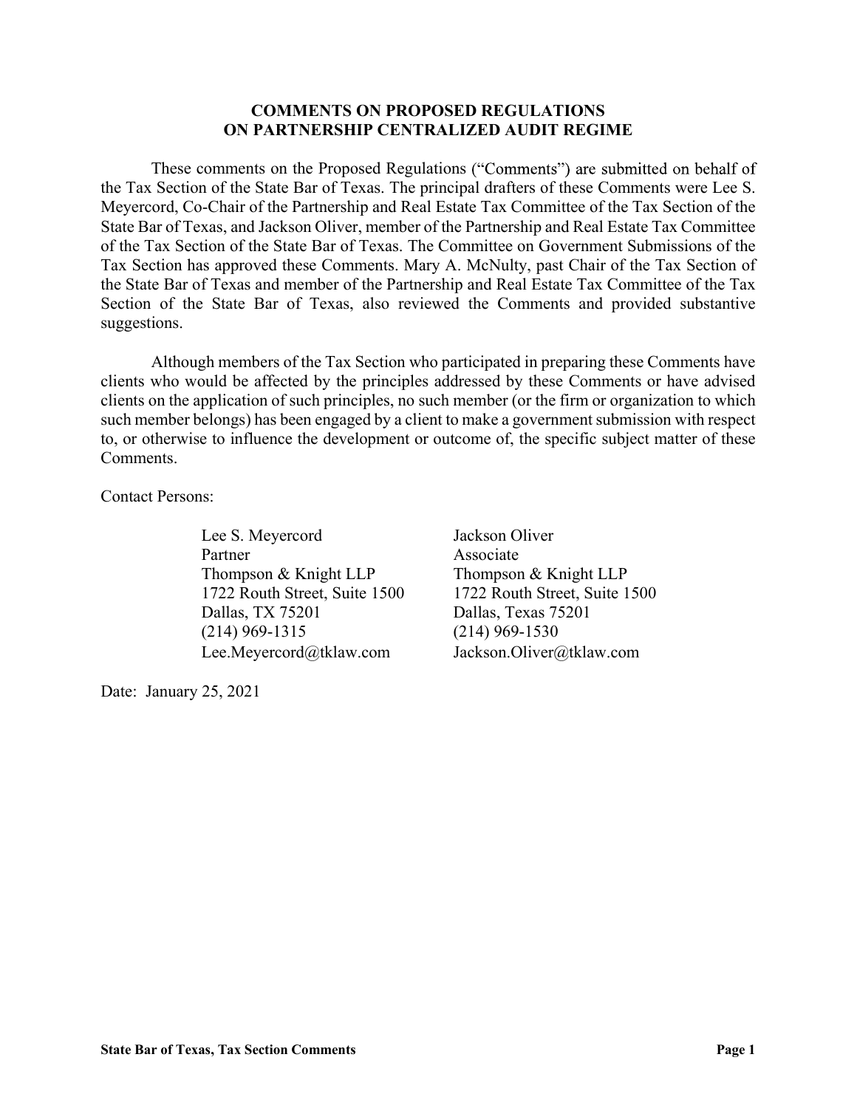### COMMENTS ON PROPOSED REGULATIONS ON PARTNERSHIP CENTRALIZED AUDIT REGIME

These comments on the Proposed Regulations ("Comments") are submitted on behalf of the Tax Section of the State Bar of Texas. The principal drafters of these Comments were Lee S. Meyercord, Co-Chair of the Partnership and Real Estate Tax Committee of the Tax Section of the State Bar of Texas, and Jackson Oliver, member of the Partnership and Real Estate Tax Committee of the Tax Section of the State Bar of Texas. The Committee on Government Submissions of the Tax Section has approved these Comments. Mary A. McNulty, past Chair of the Tax Section of the State Bar of Texas and member of the Partnership and Real Estate Tax Committee of the Tax Section of the State Bar of Texas, also reviewed the Comments and provided substantive suggestions.

 Although members of the Tax Section who participated in preparing these Comments have clients who would be affected by the principles addressed by these Comments or have advised clients on the application of such principles, no such member (or the firm or organization to which such member belongs) has been engaged by a client to make a government submission with respect to, or otherwise to influence the development or outcome of, the specific subject matter of these Comments.

Contact Persons:

Lee S. Meyercord Jackson Oliver Partner Associate Thompson & Knight LLP Thompson & Knight LLP Dallas, TX 75201 Dallas, Texas 75201 (214) 969-1315 (214) 969-1530 Lee.Meyercord@tklaw.com Jackson.Oliver@tklaw.com

Date: January 25, 2021

1722 Routh Street, Suite 1500 1722 Routh Street, Suite 1500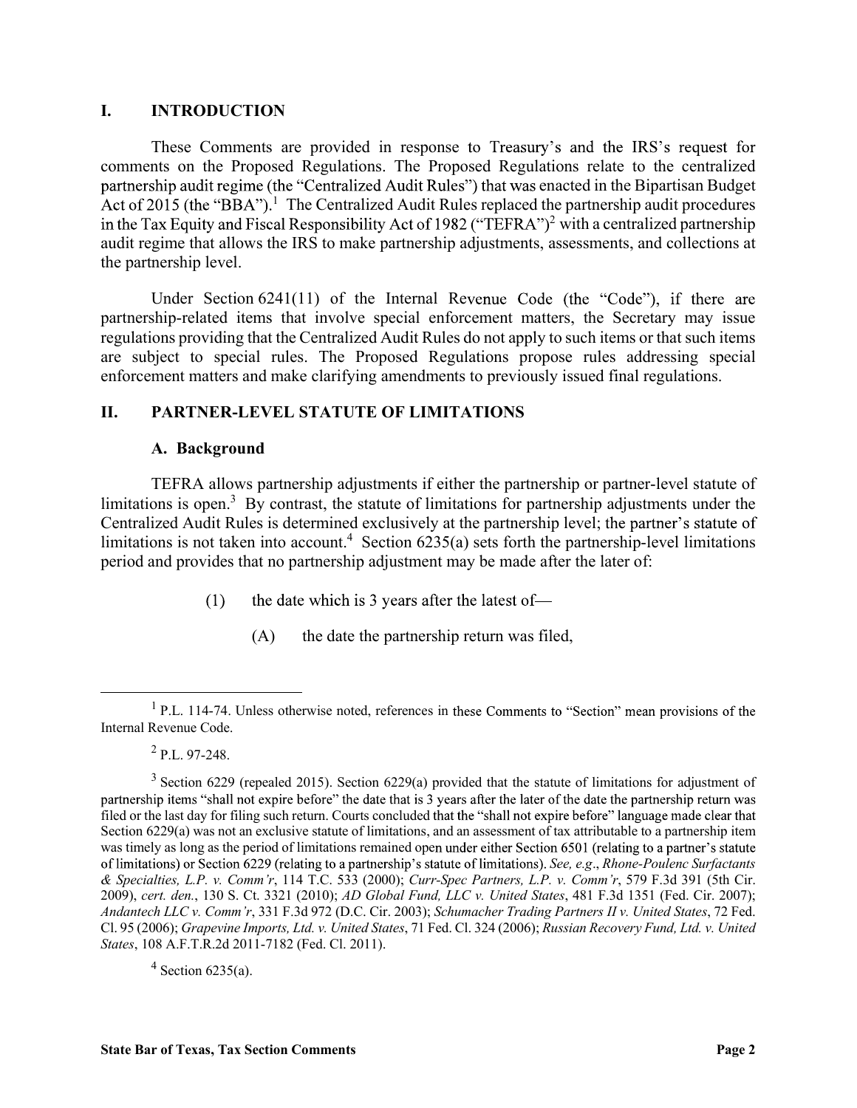I. **INTRODUCTION**<br>These Comments are provided in response to Treasury's and the<br>comments on the Proposed Regulations. The Proposed Regulations relations<br>partnership audit regime (the "Centralized Audit Rules") that was en These Comments are provided in response to Treasury's and the IRS's request for comments on the Proposed Regulations. The Proposed Regulations relate to the centralized partnership audit regime (the "Centralized Audit Rules") that was enacted in the Bipartisan Budget <sup>1</sup> The Centralized Audit Rules replaced the partnership audit procedures <sup>2</sup> with a centralized partnership audit regime that allows the IRS to make partnership adjustments, assessments, and collections at the partnership level. **I.** INTRODUCTION<br>
These Comments are provided in response to Treasury's and the I<br>
comments on the Proposed Regulations. The Proposed Regulations relate to<br>
Act of 2015 (the "BBA").<sup>1</sup> The Centralized Audit Rules'') that **INTRODUCTION**<br>
These Comments are provided in response to Treasury's and the list<br>
Intis on the Proposed Regulations. The Proposed Regulations relate<br>
Intigration care the "Centralized Audit Rules") that was enacted in t

Under Section 6241(11) of the Internal Revenue Code (the "Code"), if there are partnership-related items that involve special enforcement matters, the Secretary may issue regulations providing that the Centralized Audit Rules do not apply to such items or that such items are subject to special rules. The Proposed Regulations propose rules addressing special enforcement matters and make clarifying amendments to previously issued final regulations.

TEFRA allows partnership adjustments if either the partnership or partner-level statute of limitations is open.<sup>3</sup> By contrast, the statute of limitations for partnership adjustments under the Centralized Audit Rules is determined exclusively at the partnership level; limitations is not taken into account.<sup>4</sup> Section 6235(a) sets forth the partnership-level limitations period and provides that no partnership adjustment may be made after the later of:

- the date which is 3 years after the latest of- $(1)$ 
	- (A) the date the partnership return was filed,

 $4$  Section 6235(a).

<sup>&</sup>lt;sup>1</sup> P.L. 114-74. Unless otherwise noted, references in these Comments to Internal Revenue Code.

 $^{2}$  P.L. 97-248.

 $3$  Section 6229 (repealed 2015). Section 6229(a) provided that the statute of limitations for adjustment of partnership items "shall not expire before" the date that is 3 years after the later of the date the partnership return was filed or the last day for filing such return. Courts concluded that the "shall not expire before" language made clear that Section 6229(a) was not an exclusive statute of limitations, and an assessment of tax attributable to a partnership item was timely as long as the period of limitations remained open under either Section 6501 (relating to a partner's statute of limitations) or Section 6229 (relating to a partnership's statute of limitations). See, e.g., Rhone-Poulenc Surfactants & Specialties, L.P. v. Comm'r, 114 T.C. 533 (2000); Curr-Spec Partners, L.P. v. Comm'r, 579 F.3d 391 (5th Cir. 2009), cert. den., 130 S. Ct. 3321 (2010); AD Global Fund, LLC v. United States, 481 F.3d 1351 (Fed. Cir. 2007); Andantech LLC v. Comm'r, 331 F.3d 972 (D.C. Cir. 2003); Schumacher Trading Partners II v. United States, 72 Fed. Cl. 95 (2006); Grapevine Imports, Ltd. v. United States, 71 Fed. Cl. 324 (2006); Russian Recovery Fund, Ltd. v. United States, 108 A.F.T.R.2d 2011-7182 (Fed. Cl. 2011).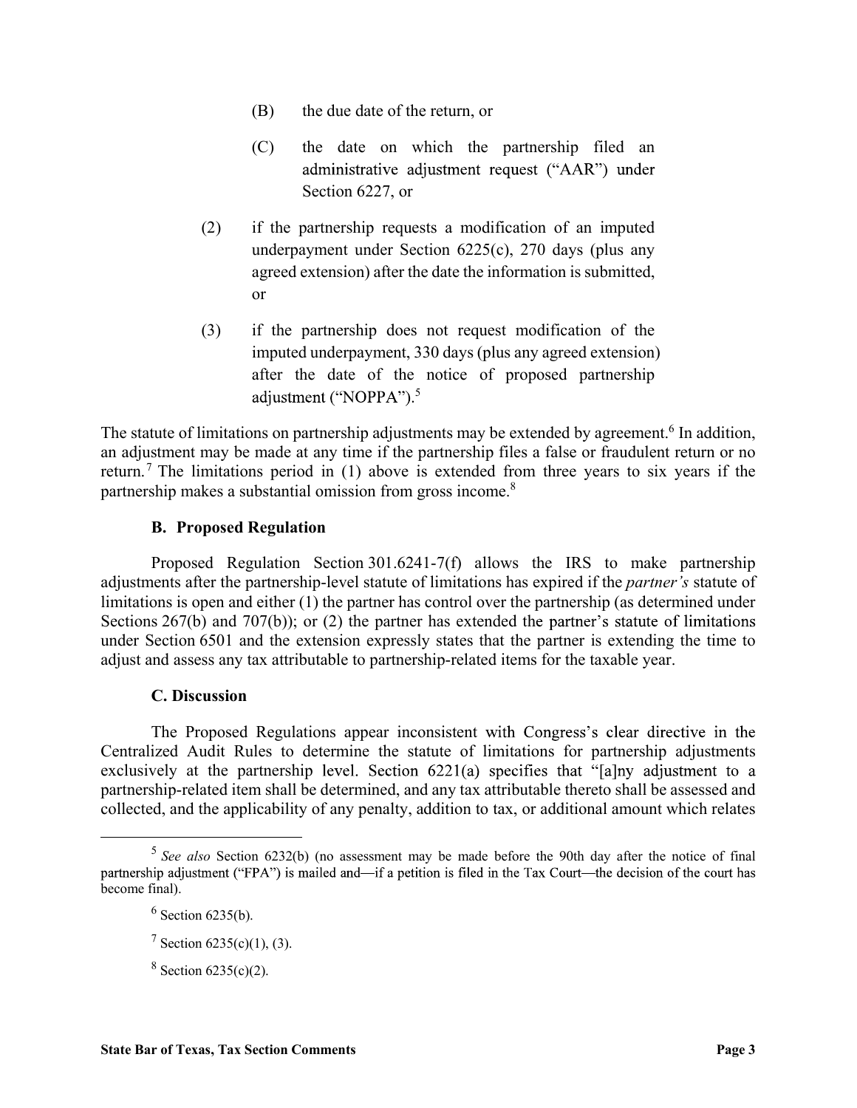- (B) the due date of the return, or
- (C) the date on which the partnership filed an Section 6227, or
- (2) if the partnership requests a modification of an imputed underpayment under Section 6225(c), 270 days (plus any agreed extension) after the date the information is submitted, or
- (3) if the partnership does not request modification of the imputed underpayment, 330 days (plus any agreed extension) after the date of the notice of proposed partnership  $5<sub>5</sub>$ administrative adjustment request ("AAR") un<br>
Section 6227, or<br>
(2) if the partnership requests a modification of an impu<br>
underpayment under Section 6225(c), 270 days (plus a<br>
agreed extension) after the date the informa

The statute of limitations on partnership adjustments may be extended by agreement.<sup>6</sup> In addition, an adjustment may be made at any time if the partnership files a false or fraudulent return or no return.<sup>7</sup> The limitations period in (1) above is extended from three years to six years if the partnership makes a substantial omission from gross income.<sup>8</sup>

Proposed Regulation Section 301.6241-7(f) allows the IRS to make partnership adjustments after the partnership-level statute of limitations has expired if the partner's statute of limitations is open and either (1) the partner has control over the partnership (as determined under Sections  $267(b)$  and  $707(b)$ ; or (2) the partner has extended the partner's statute of limitations under Section 6501 and the extension expressly states that the partner is extending the time to adjust and assess any tax attributable to partnership-related items for the taxable year.

### C. Discussion

The Proposed Regulations appear inconsistent with Congress's clear directive in the Centralized Audit Rules to determine the statute of limitations for partnership adjustments exclusively at the partnership level. Section  $6221(a)$  specifies that "[a]ny adjustment to a partnership-related item shall be determined, and any tax attributable thereto shall be assessed and collected, and the applicability of any penalty, addition to tax, or additional amount which relates

<sup>&</sup>lt;sup>5</sup> See also Section 6232(b) (no assessment may be made before the 90th day after the notice of final become final).

 $6$  Section 6235(b).

 $7$  Section 6235(c)(1), (3).

 $8 \text{ Section } 6235(c)(2).$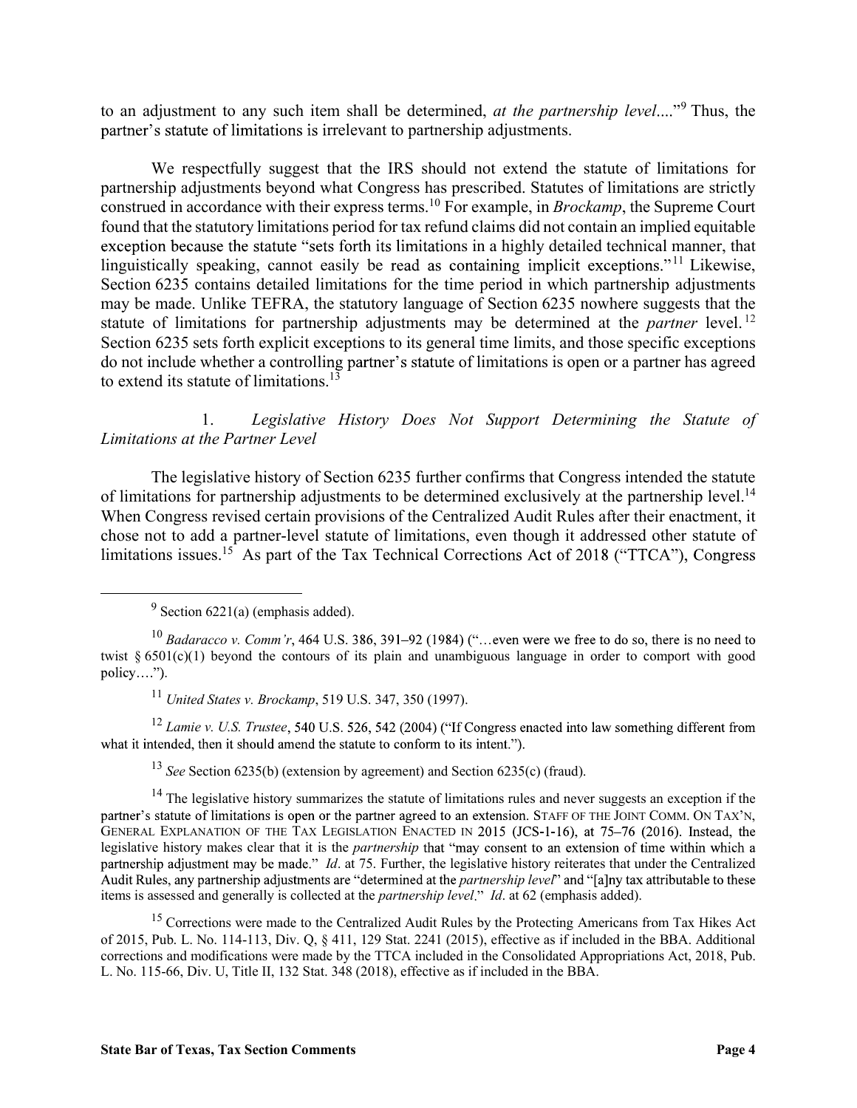to an adjustment to any such item shall be determined, *at the partnership level...*"<sup>9</sup> Thus, the partner's statute of limitations is irrelevant to partnership adjustments.

We respectfully suggest that the IRS should not extend the statute of limitations for partnership adjustments beyond what Congress has prescribed. Statutes of limitations are strictly construed in accordance with their express terms.<sup>10</sup> For example, in *Brockamp*, the Supreme Court found that the statutory limitations period for tax refund claims did not contain an implied equitable exception because the statute "sets forth its limitations in a highly detailed technical manner, that linguistically speaking, cannot easily be read as containing implicit exceptions."<sup>11</sup> Likewise, Section 6235 contains detailed limitations for the time period in which partnership adjustments may be made. Unlike TEFRA, the statutory language of Section 6235 nowhere suggests that the statute of limitations for partnership adjustments may be determined at the *partner* level.<sup>12</sup> Section 6235 sets forth explicit exceptions to its general time limits, and those specific exceptions do not include whether a controlling partner's statute of limitations is open or a partner has agreed to extend its statute of limitations.<sup>13</sup>

 1. Legislative History Does Not Support Determining the Statute of Limitations at the Partner Level

The legislative history of Section 6235 further confirms that Congress intended the statute of limitations for partnership adjustments to be determined exclusively at the partnership level.<sup>14</sup> When Congress revised certain provisions of the Centralized Audit Rules after their enactment, it chose not to add a partner-level statute of limitations, even though it addressed other statute of limitations issues.<sup>15</sup> As part of the Tax Technical Corrections Act of 2018 ("TTCA"), Congress

 $9^9$  Section 6221(a) (emphasis added).

<sup>11</sup> United States v. Brockamp, 519 U.S. 347, 350 (1997).

<sup>12</sup> Lamie v. U.S. Trustee, 540 U.S. 526, 542 (2004) ("If Congress enacted into law something different from what it intended, then it should amend the statute to conform to its intent.").

<sup>13</sup> See Section 6235(b) (extension by agreement) and Section 6235(c) (fraud).

<sup>14</sup> The legislative history summarizes the statute of limitations rules and never suggests an exception if the partner's statute of limitations is open or the partner agreed to an extension. STAFF OF THE JOINT COMM. ON TAX'N, GENERAL EXPLANATION OF THE TAX LEGISLATION ENACTED IN 2015 (JCS-1-16), at 75-76 (2016). Instead, the legislative history makes clear that it is the *partnership* that "may consent to an extension of time within which a partnership adjustment may be made." *Id.* at 75. Further, the legislative history reiterates that under the Centralized Audit Rules, any partnership adjustments are "determined at the *partnership level*" and "[a]ny tax attributable to these items is assessed and generally is collected at the *partnership level.*" *Id.* at 62 (emphasis added).

<sup>15</sup> Corrections were made to the Centralized Audit Rules by the Protecting Americans from Tax Hikes Act of 2015, Pub. L. No. 114-113, Div. Q, § 411, 129 Stat. 2241 (2015), effective as if included in the BBA. Additional corrections and modifications were made by the TTCA included in the Consolidated Appropriations Act, 2018, Pub. L. No. 115-66, Div. U, Title II, 132 Stat. 348 (2018), effective as if included in the BBA.

 $^{10}$  Badaracco v. Comm'r, 464 U.S. 386, 391–92 (1984) ("...even were we free to do so, there is no need to twist  $\S 6501(c)(1)$  beyond the contours of its plain and unambiguous language in order to comport with good  $policy...$ ").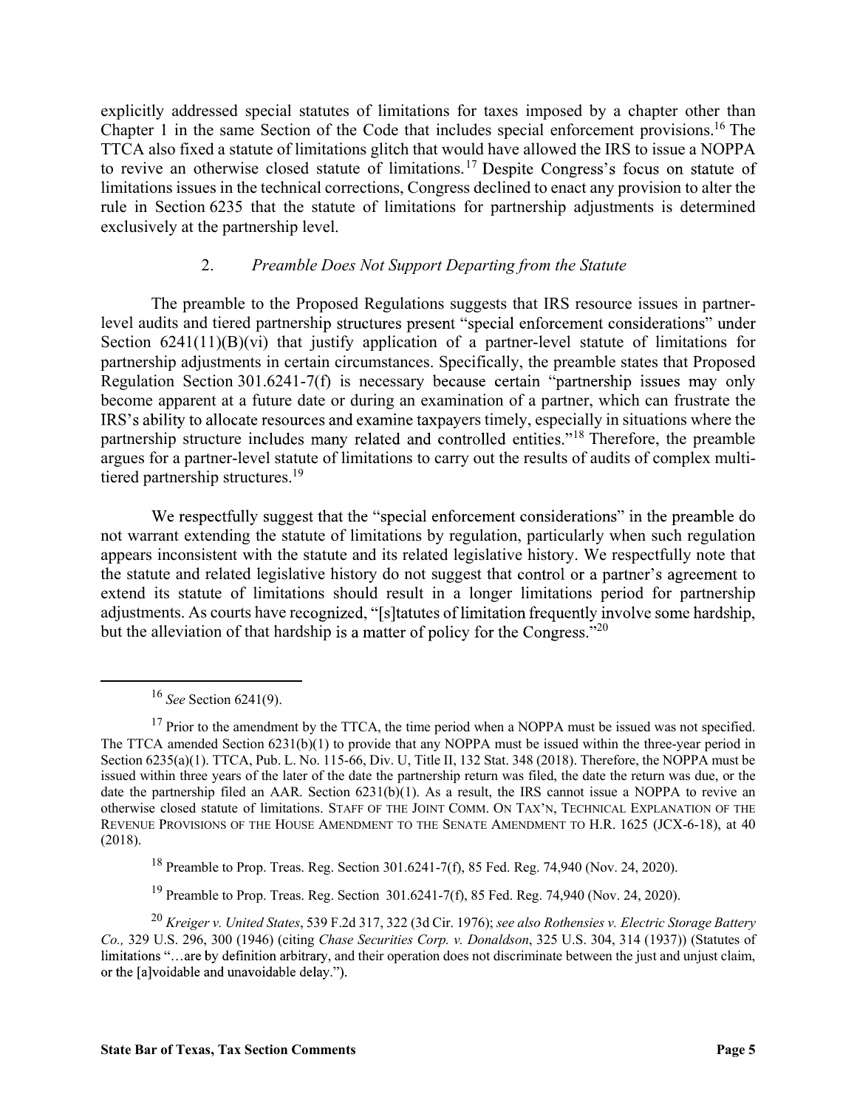explicitly addressed special statutes of limitations for taxes imposed by a chapter other than Chapter 1 in the same Section of the Code that includes special enforcement provisions.16 The TTCA also fixed a statute of limitations glitch that would have allowed the IRS to issue a NOPPA to revive an otherwise closed statute of limitations.<sup>17</sup> Despite Congress's focus on statute of limitations issues in the technical corrections, Congress declined to enact any provision to alter the rule in Section 6235 that the statute of limitations for partnership adjustments is determined exclusively at the partnership level.

### 2. Preamble Does Not Support Departing from the Statute

 The preamble to the Proposed Regulations suggests that IRS resource issues in partnerlevel audits and tiered partnership structures present "special enforcement considerations" under Section  $6241(11)(B)(vi)$  that justify application of a partner-level statute of limitations for partnership adjustments in certain circumstances. Specifically, the preamble states that Proposed Regulation Section 301.6241-7(f) is necessary because certain "partnership issues may only become apparent at a future date or during an examination of a partner, which can frustrate the IRS's ability to allocate resources and examine taxpayers timely, especially in situations where the partnership structure includes many related and controlled entities."<sup>18</sup> Therefore, the preamble argues for a partner-level statute of limitations to carry out the results of audits of complex multitiered partnership structures.<sup>19</sup>

not warrant extending the statute of limitations by regulation, particularly when such regulation appears inconsistent with the statute and its related legislative history. We respectfully note that the statute and related legislative history do not suggest that control or a partner's agreement to extend its statute of limitations should result in a longer limitations period for partnership adjustments. As courts have recognized, "[s] tatutes of limitation frequently involve some hardship, but the alleviation of that hardship is a matter of policy for the Congress.<sup> $20$ </sup> partnership structure includes many related and controlled entities."<sup>18</sup> Therefore, the preamble argues for a partner-level statute of limitations to carry out the results of andits of complex multi-<br>tigraces for a partne argues for a partner-level statute of limitations to carry out the results of audits of complex multi-<br>tiered partnership structures.<sup>39</sup><br>We respectfully suggest that the "special enforcement considerations" in the preambl

 $16$  See Section 6241(9).

18 Preamble to Prop. Treas. Reg. Section 301.6241-7(f), 85 Fed. Reg. 74,940 (Nov. 24, 2020).

<sup>19</sup> Preamble to Prop. Treas. Reg. Section 301.6241-7(f), 85 Fed. Reg. 74,940 (Nov. 24, 2020).

 $17$  Prior to the amendment by the TTCA, the time period when a NOPPA must be issued was not specified. The TTCA amended Section 6231(b)(1) to provide that any NOPPA must be issued within the three-year period in Section 6235(a)(1). TTCA, Pub. L. No. 115-66, Div. U, Title II, 132 Stat. 348 (2018). Therefore, the NOPPA must be issued within three years of the later of the date the partnership return was filed, the date the return was due, or the REVENUE PROVISIONS OF THE HOUSE AMENDMENT TO THE SENATE AMENDMENT TO H.R. 1625 (JCX-6-18), at 40 (2018).

 $^{20}$  Kreiger v. United States, 539 F.2d 317, 322 (3d Cir. 1976); see also Rothensies v. Electric Storage Battery Co., 329 U.S. 296, 300 (1946) (citing Chase Securities Corp. v. Donaldson, 325 U.S. 304, 314 (1937)) (Statutes of limitations "...are by definition arbitrary, and their operation does not discriminate between the just and unjust claim, or the [a]voidable and unavoidable delay.").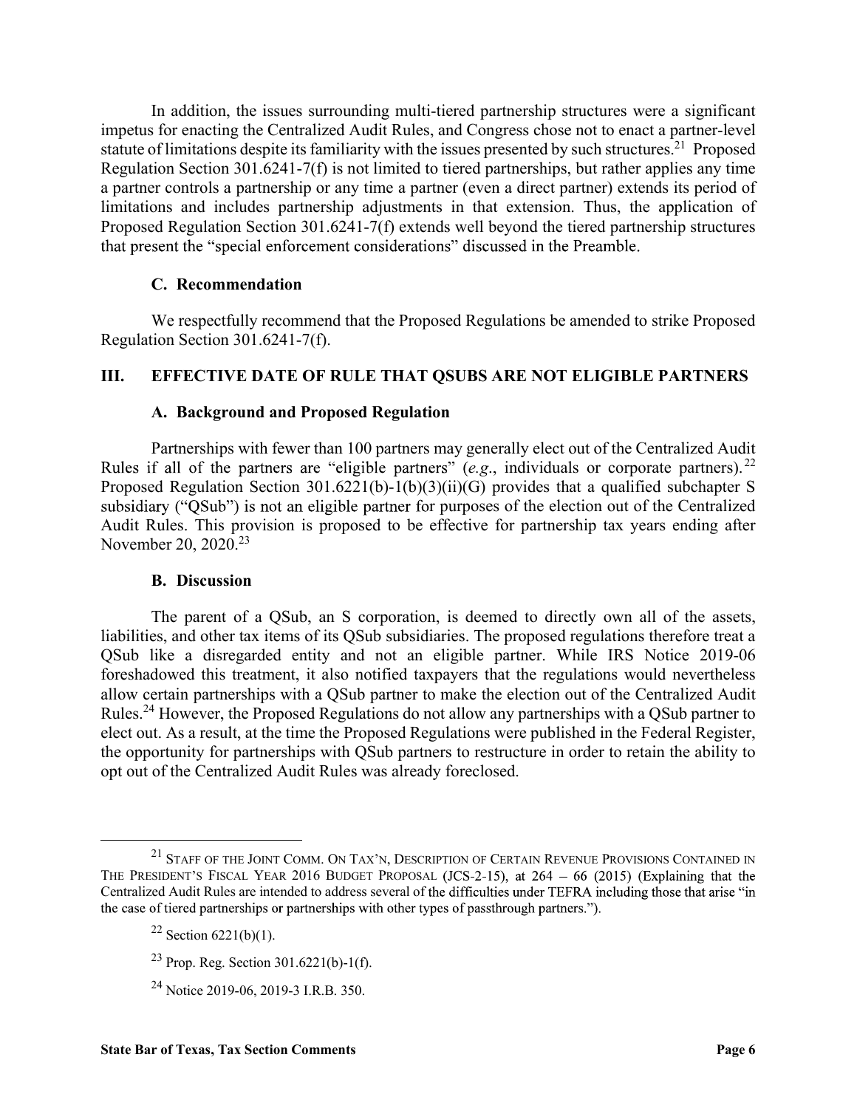In addition, the issues surrounding multi-tiered partnership structures were a significant impetus for enacting the Centralized Audit Rules, and Congress chose not to enact a partner-level statute of limitations despite its familiarity with the issues presented by such structures.<sup>21</sup> Proposed Regulation Section 301.6241-7(f) is not limited to tiered partnerships, but rather applies any time a partner controls a partnership or any time a partner (even a direct partner) extends its period of limitations and includes partnership adjustments in that extension. Thus, the application of Proposed Regulation Section 301.6241-7(f) extends well beyond the tiered partnership structures In addition, the issues surrounding multi-tiered partnership structures<br>s for enacting the Centralized Audit Rules, and Congress chose not to en<br>of limitations despite its familiarity with the issues presented by such str In addition, the issues surrounding multi-tiered partnership structures were a significant<br>impetus for enacting the Centralized Audit Rules, and Congress chose not to enact a partner-level<br>statute of limitations despite i In addition, the issues surrounding multi-tiered partnership structures<br>
is for enacting the Centralized Audit Rules, and Congress chose not to en<br>
of limitations despite its familiarity with the issues presented by such

We respectfully recommend that the Proposed Regulations be amended to strike Proposed Regulation Section 301.6241-7(f).

Partnerships with fewer than 100 partners may generally elect out of the Centralized Audit Rules if all of the partners are "eligible partners" (e.g., individuals or corporate partners).<sup>22</sup> Proposed Regulation Section 301.6221(b)-1(b)(3)(ii)(G) provides that a qualified subchapter S subsidiary ("QSub") is not an eligible partner for purposes of the election out of the Centralized Audit Rules. This provision is proposed to be effective for partnership tax years ending after November 20, 2020.<sup>23</sup> Example 10.6241-7(f) extends well beyond the tiered part<br>sent the "special enforcement considerations" discussed in the Preamble<br>C. Recommendation<br>We respectfully recommend that the Proposed Regulations be amended<br>ion Sec

The parent of a QSub, an S corporation, is deemed to directly own all of the assets, liabilities, and other tax items of its QSub subsidiaries. The proposed regulations therefore treat a QSub like a disregarded entity and not an eligible partner. While IRS Notice 2019-06 foreshadowed this treatment, it also notified taxpayers that the regulations would nevertheless allow certain partnerships with a QSub partner to make the election out of the Centralized Audit Rules.24 However, the Proposed Regulations do not allow any partnerships with a QSub partner to elect out. As a result, at the time the Proposed Regulations were published in the Federal Register, the opportunity for partnerships with QSub partners to restructure in order to retain the ability to opt out of the Centralized Audit Rules was already foreclosed.

24 Notice 2019-06, 2019-3 I.R.B. 350.

 $^{21}$  STAFF OF THE JOINT COMM. ON TAX'N, DESCRIPTION OF CERTAIN REVENUE PROVISIONS CONTAINED IN THE PRESIDENT'S FISCAL YEAR 2016 BUDGET PROPOSAL (JCS-2-15), at  $264 - 66$  (2015) (Explaining that the Centralized Audit Rules are intended to address several of the difficulties under TEFRA including those that arise "in the case of tiered partnerships or partnerships with other types of passthrough partners.").

 $22$  Section 6221(b)(1).

 $23$  Prop. Reg. Section 301.6221(b)-1(f).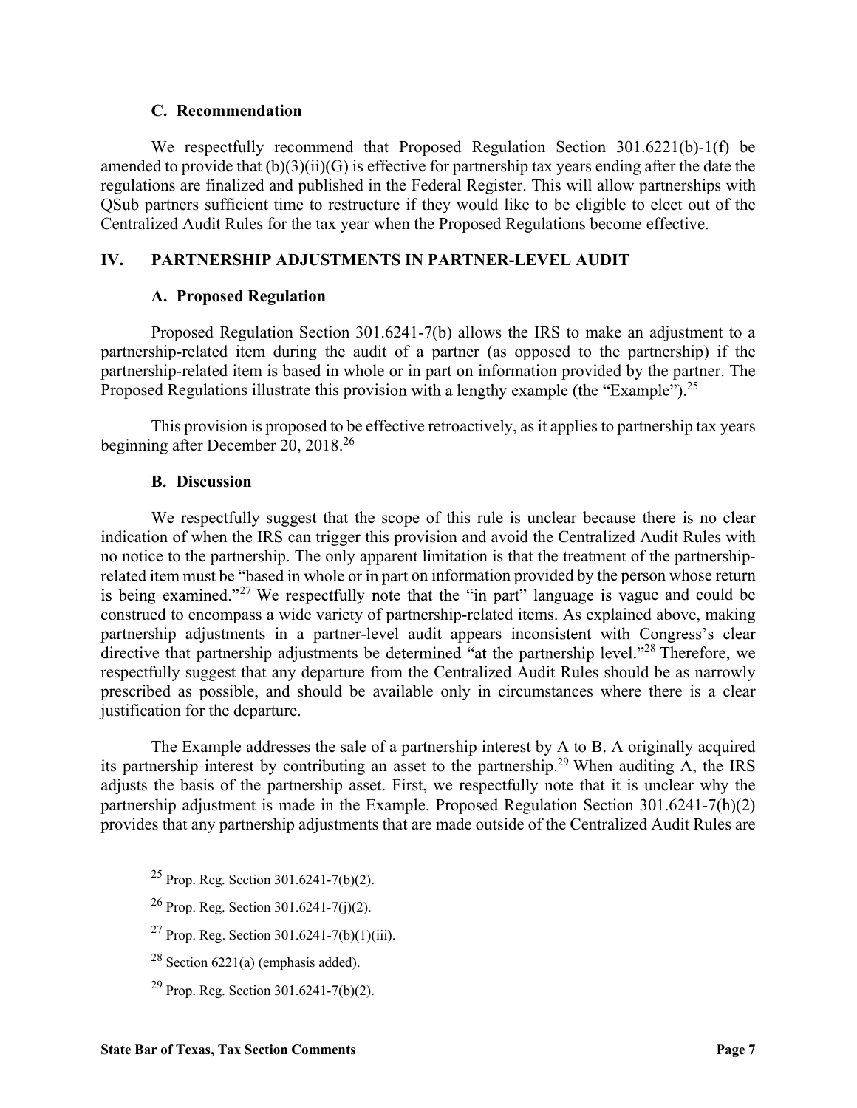**C. Recommendation**<br>We respectfully recommend that Proposed Regulation Section 30<br>d to provide that  $(b)(3)(ii)(G)$  is effective for partnership tax years ending<br>ons are finalized and published in the Federal Register. This wi We respectfully recommend that Proposed Regulation Section 301.6221(b)-1(f) be amended to provide that  $(b)(3)(ii)(G)$  is effective for partnership tax years ending after the date the regulations are finalized and published in the Federal Register. This will allow partnerships with QSub partners sufficient time to restructure if they would like to be eligible to elect out of the Centralized Audit Rules for the tax year when the Proposed Regulations become effective. **C. Recommendation**<br>
We respectfully recommend that Proposed Regulation Section 301.6221(b)-1(f) the<br>
amended to provide that  $(b)(3)(ii)(G)$  is effective for partnership tax years ending after the date the<br>
regulations are fi **C. Recommendation**<br>
We respectfully recommend that Proposed Regulation Section 30<br>
d to provide that (b)(3)(ii)(G) is effective for partnership tax years ending<br>
ons are finalized and published in the Federal Register. T We respectfully recommend that Proposed Regulation Section 30<br>
did to provide that (b)(3)(ii)(G) is effective for partnership tax years ending<br>
ons are finalized and published in the Federal Register. This will allow<br>
bea

Proposed Regulation Section 301.6241-7(b) allows the IRS to make an adjustment to a partnership-related item during the audit of a partner (as opposed to the partnership) if the partnership-related item is based in whole or in part on information provided by the partner. The Proposed Regulations illustrate this provision with a lengthy example (the "Example").<sup>25</sup>

This provision is proposed to be effective retroactively, as it applies to partnership tax years beginning after December 20, 2018<sup>26</sup>

We respectfully suggest that the scope of this rule is unclear because there is no clear indication of when the IRS can trigger this provision and avoid the Centralized Audit Rules with no notice to the partnership. The only apparent limitation is that the treatment of the partnership related item must be "based in whole or in part on information provided by the person whose return is being examined."<sup>27</sup> We respectfully note that the "in part" language is vague and could be construed to encompass a wide variety of partnership-related items. As explained above, making partnership adjustments in a partner-level audit appears inconsistent with Congress's clear directive that partnership adjustments be determined "at the partnership level."<sup>28</sup> Therefore, we respectfully suggest that any departure from the Centralized Audit Rules should be as narrowly prescribed as possible, and should be available only in circumstances where there is a clear justification for the departure.

The Example addresses the sale of a partnership interest by A to B. A originally acquired its partnership interest by contributing an asset to the partnership.29 When auditing A, the IRS adjusts the basis of the partnership asset. First, we respectfully note that it is unclear why the partnership adjustment is made in the Example. Proposed Regulation Section 301.6241-7(h)(2) provides that any partnership adjustments that are made outside of the Centralized Audit Rules are

- 25 Prop. Reg. Section 301.6241-7(b)(2).
- <sup>26</sup> Prop. Reg. Section  $301.6241 7(i)(2)$ .
- <sup>27</sup> Prop. Reg. Section 301.6241-7(b)(1)(iii).
- $28$  Section 6221(a) (emphasis added).
- $^{29}$  Prop. Reg. Section 301.6241-7(b)(2).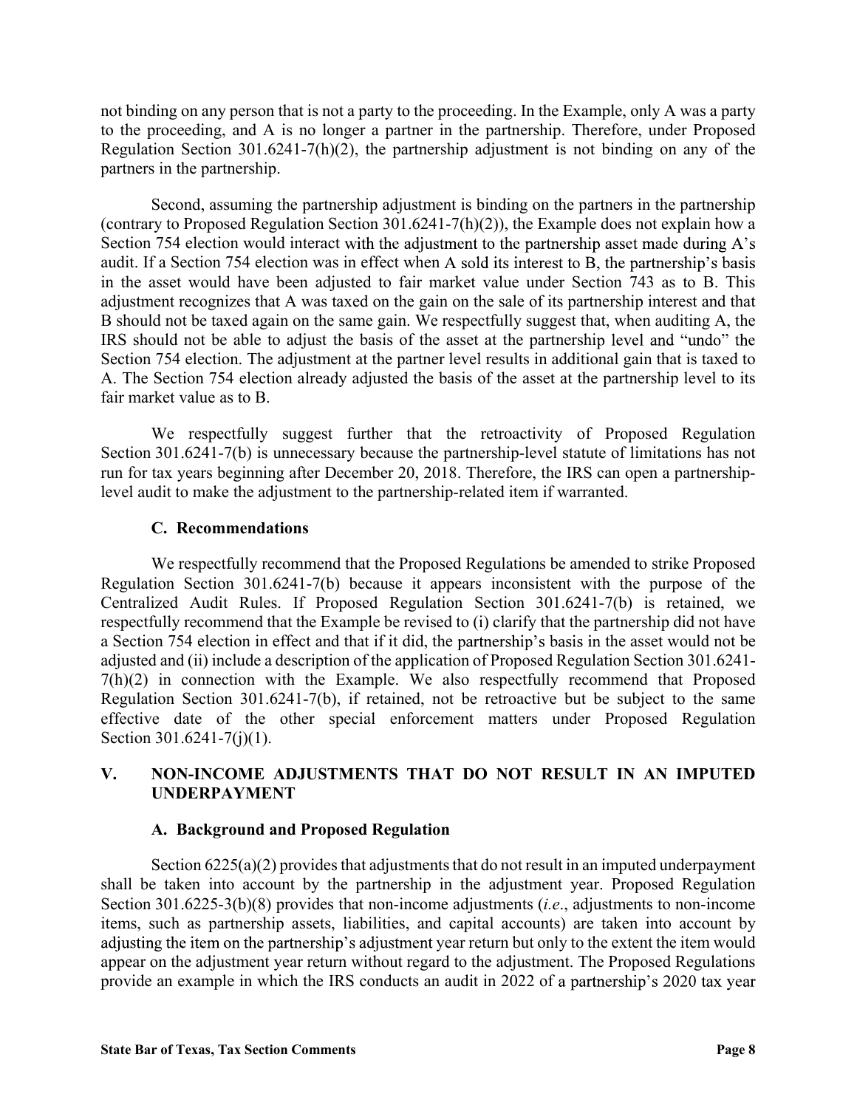not binding on any person that is not a party to the proceeding. In the Example, only A was a party to the proceeding, and A is no longer a partner in the partnership. Therefore, under Proposed Regulation Section 301.6241-7(h)(2), the partnership adjustment is not binding on any of the partners in the partnership.

Second, assuming the partnership adjustment is binding on the partners in the partnership (contrary to Proposed Regulation Section 301.6241-7(h)(2)), the Example does not explain how a Section 754 election would interact with the adjustment to the partnership asset made during A's audit. If a Section 754 election was in effect when A sold its interest to B, the partnership's basis in the asset would have been adjusted to fair market value under Section 743 as to B. This adjustment recognizes that A was taxed on the gain on the sale of its partnership interest and that B should not be taxed again on the same gain. We respectfully suggest that, when auditing A, the IRS should not be able to adjust the basis of the asset at the partnership level and "undo" the Section 754 election. The adjustment at the partner level results in additional gain that is taxed to A. The Section 754 election already adjusted the basis of the asset at the partnership level to its fair market value as to B. Second, assuming the partnership adjustment is binding on the partners<br>
Second, assuming the partnership adjustment is binding on the partners<br>
754 election would interact with the adjustment to the partnership asses<br>
754

We respectfully suggest further that the retroactivity of Proposed Regulation Section 301.6241-7(b) is unnecessary because the partnership-level statute of limitations has not run for tax years beginning after December 20, 2018. Therefore, the IRS can open a partnershiplevel audit to make the adjustment to the partnership-related item if warranted.

We respectfully recommend that the Proposed Regulations be amended to strike Proposed Regulation Section 301.6241-7(b) because it appears inconsistent with the purpose of the Centralized Audit Rules. If Proposed Regulation Section 301.6241-7(b) is retained, we respectfully recommend that the Example be revised to (i) clarify that the partnership did not have a Section 754 election in effect and that if it did, the partnership's basis in the asset would not be adjusted and (ii) include a description of the application of Proposed Regulation Section 301.6241- 7(h)(2) in connection with the Example. We also respectfully recommend that Proposed Regulation Section 301.6241-7(b), if retained, not be retroactive but be subject to the same effective date of the other special enforcement matters under Proposed Regulation Section 301.6241-7(j)(1). We respectfully suggest further that the retroactivity of Proposed Regulation<br>Section 301.6241-7(b) is unnecessary because the partnership-level statute of limitations has not<br>run for tax years beginning after December 20, tax years beginning after December 20, 2018. Therefore, the IRS can of<br>dit to make the adjustment to the partnership-related item if warranted.<br> **C. Recommendations**<br>
We respectfully recommend that the Proposed Regulation

## UNDERPAYMENT

Section  $6225(a)(2)$  provides that adjustments that do not result in an imputed underpayment shall be taken into account by the partnership in the adjustment year. Proposed Regulation Section 301.6225-3(b)(8) provides that non-income adjustments (*i.e.*, adjustments to non-income items, such as partnership assets, liabilities, and capital accounts) are taken into account by adjusting the item on the partnership's adjustment year return but only to the extent the item would appear on the adjustment year return without regard to the adjustment. The Proposed Regulations provide an example in which the IRS conducts an audit in 2022 of a partnership's 2020 tax year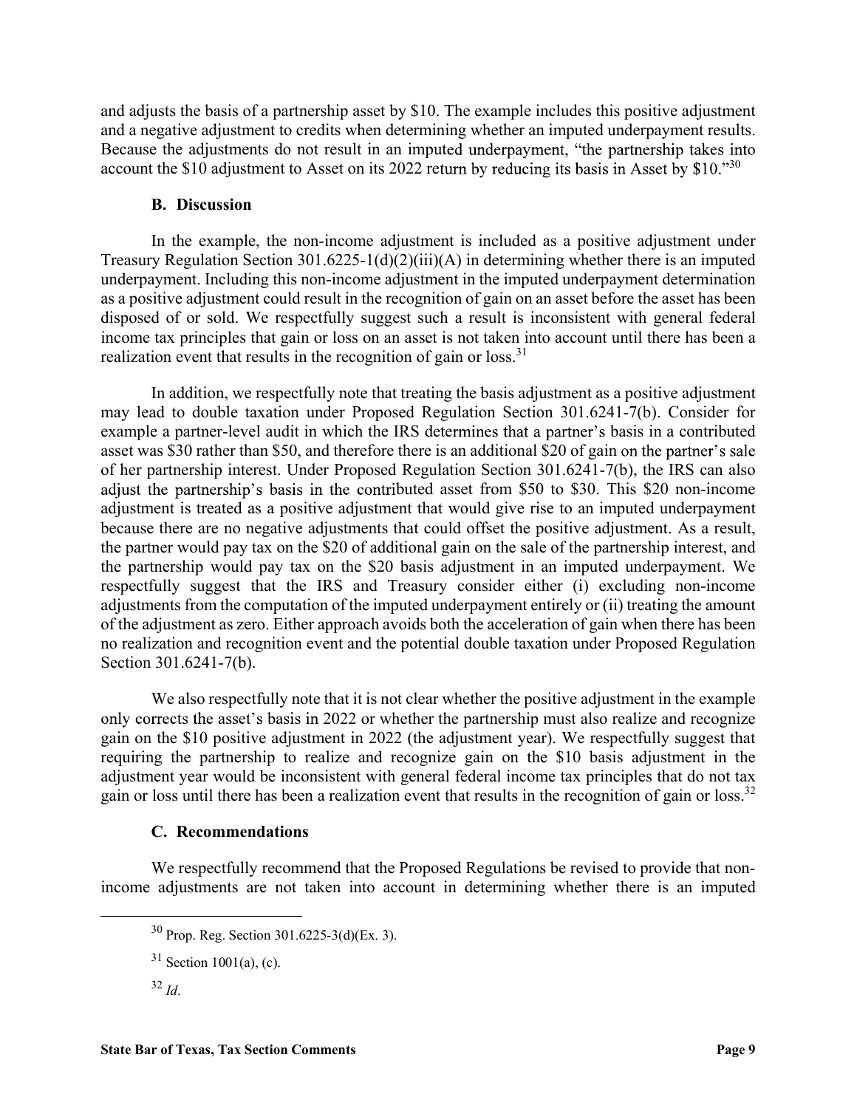and adjusts the basis of a partnership asset by \$10. The example includes this positive adjustment and a negative adjustment to credits when determining whether an imputed underpayment results. Because the adjustments do not result in an imputed underpayment, "the partnership takes into account the \$10 adjustment to Asset on its 2022 return by reducing its basis in Asset by  $$10.^{30}$ usts the basis of a partnership asset by \$10. The example includes this per example adjustment to credits when determining whether an imputed under the adjustments do not result in an imputed underpayment, "the part the \$

In the example, the non-income adjustment is included as a positive adjustment under Treasury Regulation Section 301.6225-1(d)(2)(iii)(A) in determining whether there is an imputed underpayment. Including this non-income adjustment in the imputed underpayment determination as a positive adjustment could result in the recognition of gain on an asset before the asset has been disposed of or sold. We respectfully suggest such a result is inconsistent with general federal income tax principles that gain or loss on an asset is not taken into account until there has been a realization event that results in the recognition of gain or loss.<sup>31</sup>

In addition, we respectfully note that treating the basis adjustment as a positive adjustment may lead to double taxation under Proposed Regulation Section 301.6241-7(b). Consider for example a partner-level audit in which the IRS determines that a partner's basis in a contributed asset was \$30 rather than \$50, and therefore there is an additional \$20 of gain on the partner's sale of her partnership interest. Under Proposed Regulation Section 301.6241-7(b), the IRS can also adjust the partnership's basis in the contributed asset from \$50 to \$30. This \$20 non-income adjustment is treated as a positive adjustment that would give rise to an imputed underpayment because there are no negative adjustments that could offset the positive adjustment. As a result, the partner would pay tax on the \$20 of additional gain on the sale of the partnership interest, and the partnership would pay tax on the \$20 basis adjustment in an imputed underpayment. We respectfully suggest that the IRS and Treasury consider either (i) excluding non-income adjustments from the computation of the imputed underpayment entirely or (ii) treating the amount of the adjustment as zero. Either approach avoids both the acceleration of gain when there has been no realization and recognition event and the potential double taxation under Proposed Regulation Section 301.6241-7(b). antmessimp merest. Under Proposed Regulation Section 301.0241-(10), the HKs can also particular<br>are partnership's basis in the contributed asset from \$50 to \$30. This \$20 non-income<br>tent is treated as a positive adjustmen

We also respectfully note that it is not clear whether the positive adjustment in the example only corrects the asset's basis in 2022 or whether the partnership must also realize and recognize gain on the \$10 positive adjustment in 2022 (the adjustment year). We respectfully suggest that requiring the partnership to realize and recognize gain on the \$10 basis adjustment in the adjustment year would be inconsistent with general federal income tax principles that do not tax gain or loss until there has been a realization event that results in the recognition of gain or loss.<sup>32</sup>

We respectfully recommend that the Proposed Regulations be revised to provide that nonincome adjustments are not taken into account in determining whether there is an imputed

 <sup>30</sup> Prop. Reg. Section 301.6225-3(d)(Ex. 3).

 $31$  Section 1001(a), (c).

 $32$  Id.